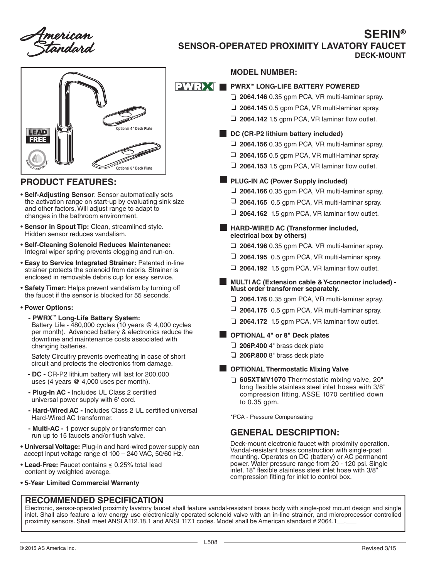nerican Fandard



### **PRODUCT FEATURES:**

- **Self-Adjusting Sensor**: Sensor automatically sets the activation range on start-up by evaluating sink size and other factors. Will adjust range to adapt to changes in the bathroom environment.
- **Sensor in Spout Tip:** Clean, streamlined style. Hidden sensor reduces vandalism.
- **Self-Cleaning Solenoid Reduces Maintenance:** Integral wiper spring prevents clogging and run-on.
- **Easy to Service Integrated Strainer:** Patented in-line strainer protects the solenoid from debris. Strainer is enclosed in removable debris cup for easy service.
- **Safety Timer:** Helps prevent vandalism by turning off the faucet if the sensor is blocked for 55 seconds.
- **Power Options:**
	- **PWRX**™ **Long-Life Battery System:** Battery Life - 480,000 cycles (10 years @ 4,000 cycles per month). Advanced battery & electronics reduce the downtime and maintenance costs associated with changing batteries.

 Safety Circuitry prevents overheating in case of short circuit and protects the electronics from damage.

- **DC -** CR-P2 lithium battery will last for 200,000 uses (4 years @ 4,000 uses per month).
- **Plug-In AC -** Includes UL Class 2 certified universal power supply with 6' cord.
- **Hard-Wired AC -** Includes Class 2 UL certified universal Hard-Wired AC transformer.
- **Multi-AC -** 1 power supply or transformer can run up to 15 faucets and/or flush valve.
- **Universal Voltage:** Plug-in and hard-wired power supply can accept input voltage range of 100 – 240 VAC, 50/60 Hz.
- **Lead-Free:** Faucet contains ≤ 0.25% total lead content by weighted average.
- **5-Year Limited Commercial Warranty**

### **MODEL NUMBER:**

#### **PWRX<sup>™</sup>** LONG-LIFE BATTERY POWERED

- **2064.146** 0.35 gpm PCA, VR multi-laminar spray.
- **2064.145** 0.5 gpm PCA, VR multi-laminar spray.
- **2064.142** 1.5 gpm PCA, VR laminar flow outlet.

#### **DC (CR-P2 lithium battery included)**

- **2064.156** 0.35 gpm PCA, VR multi-laminar spray.
- **2064.155** 0.5 gpm PCA, VR multi-laminar spray.
- **2064.153** 1.5 gpm PCA, VR laminar flow outlet.

### **PLUG-IN AC (Power Supply included)**

- **2064.166** 0.35 gpm PCA, VR multi-laminar spray.
- **2064.165** 0.5 gpm PCA, VR multi-laminar spray.
- **2064.162** 1.5 gpm PCA, VR laminar flow outlet.
- **HARD-WIRED AC (Transformer included, electrical box by others)**
	- **2064.196** 0.35 gpm PCA, VR multi-laminar spray.
	- **2064.195** 0.5 gpm PCA, VR multi-laminar spray.
	- **2064.192** 1.5 gpm PCA, VR laminar flow outlet.
- **MULTI AC (Extension cable & Y-connector included) Must order transformer separately.**
	- **2064.176** 0.35 gpm PCA, VR multi-laminar spray.
	- **2064.175** 0.5 gpm PCA, VR multi-laminar spray.
	- **2064.172** 1.5 gpm PCA, VR laminar flow outlet.

### **OPTIONAL 4" or 8" Deck plates**

- **206P.400** 4" brass deck plate
- **206P.800** 8" brass deck plate

### **OPTIONAL Thermostatic Mixing Valve**

 **605XTMV1070** Thermostatic mixing valve, 20" long flexible stainless steel inlet hoses with 3/8" compression fitting. ASSE 1070 certified down to 0.35 gpm.

\*PCA - Pressure Compensating

## **GENERAL DESCRIPTION:**

Deck-mount electronic faucet with proximity operation. Vandal-resistant brass construction with single-post mounting. Operates on DC (battery) or AC permanent power. Water pressure range from 20 - 120 psi. Single inlet. 18" flexible stainless steel inlet hose with 3/8" compression fitting for inlet to control box.

**RECOMMENDED SPECIFICATION**

Electronic, sensor-operated proximity lavatory faucet shall feature vandal-resistant brass body with single-post mount design and single inlet. Shall also feature a low energy use electronically operated solenoid valve with an in-line strainer, and microprocessor controlled proximity sensors. Shall meet ANSI A112.18.1 and ANSI 117.1 codes. Model shall be American standard # 2064.1\_